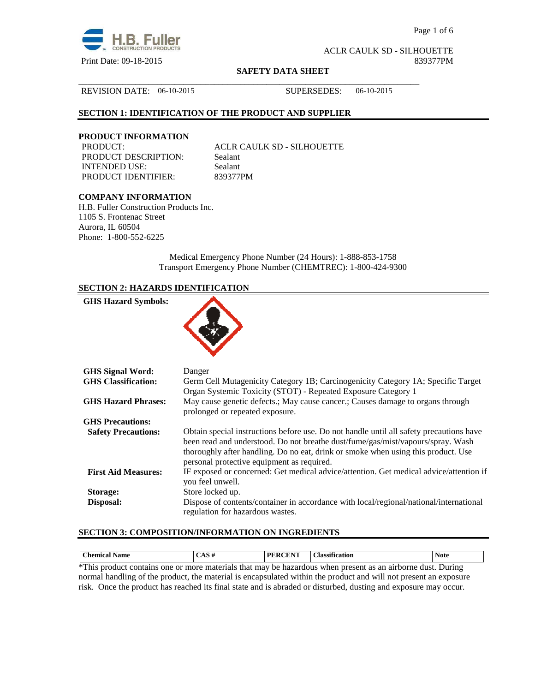

Page 1 of 6

ACLR CAULK SD - SILHOUETTE Print Date: 09-18-2015 839377PM

#### **SAFETY DATA SHEET**

\_\_\_\_\_\_\_\_\_\_\_\_\_\_\_\_\_\_\_\_\_\_\_\_\_\_\_\_\_\_\_\_\_\_\_\_\_\_\_\_\_\_\_\_\_\_\_\_\_\_\_\_\_\_\_\_\_\_\_\_\_\_\_\_\_\_\_\_\_\_\_\_\_\_\_\_\_\_

# REVISION DATE: 06-10-2015 SUPERSEDES: 06-10-2015

# **SECTION 1: IDENTIFICATION OF THE PRODUCT AND SUPPLIER**

# **PRODUCT INFORMATION**

PRODUCT DESCRIPTION: Sealant INTENDED USE: Sealant PRODUCT IDENTIFIER: 839377PM

ACLR CAULK SD - SILHOUETTE

# **COMPANY INFORMATION**

**GHS Hazard Symbols:** 

H.B. Fuller Construction Products Inc. 1105 S. Frontenac Street Aurora, IL 60504 Phone: 1-800-552-6225

> Medical Emergency Phone Number (24 Hours): 1-888-853-1758 Transport Emergency Phone Number (CHEMTREC): 1-800-424-9300

# **SECTION 2: HAZARDS IDENTIFICATION**

| <b>GHS Signal Word:</b>    | Danger                                                                                  |
|----------------------------|-----------------------------------------------------------------------------------------|
| <b>GHS</b> Classification: | Germ Cell Mutagenicity Category 1B; Carcinogenicity Category 1A; Specific Target        |
|                            | Organ Systemic Toxicity (STOT) - Repeated Exposure Category 1                           |
| <b>GHS Hazard Phrases:</b> | May cause genetic defects.; May cause cancer.; Causes damage to organs through          |
|                            | prolonged or repeated exposure.                                                         |
| <b>GHS Precautions:</b>    |                                                                                         |
| <b>Safety Precautions:</b> | Obtain special instructions before use. Do not handle until all safety precautions have |
|                            | been read and understood. Do not breathe dust/fume/gas/mist/vapours/spray. Wash         |
|                            | thoroughly after handling. Do no eat, drink or smoke when using this product. Use       |
|                            | personal protective equipment as required.                                              |
| <b>First Aid Measures:</b> | IF exposed or concerned: Get medical advice/attention. Get medical advice/attention if  |
|                            | you feel unwell.                                                                        |
| Storage:                   | Store locked up.                                                                        |
|                            |                                                                                         |
| Disposal:                  | Dispose of contents/container in accordance with local/regional/national/international  |
|                            | regulation for hazardous wastes.                                                        |

# **SECTION 3: COMPOSITION/INFORMATION ON INGREDIENTS**

| <b>Chemical Name</b>                                                                                             | $CAS \#$ | <b>PERCENT</b> | <b>Classification</b> | <b>Note</b> |
|------------------------------------------------------------------------------------------------------------------|----------|----------------|-----------------------|-------------|
| *This product contains one or more materials that may be hazardous when present as an airborne dust. During      |          |                |                       |             |
| normal handling of the product, the material is encapsulated within the product and will not present an exposure |          |                |                       |             |
| risk. Once the product has reached its final state and is abraded or disturbed, dusting and exposure may occur.  |          |                |                       |             |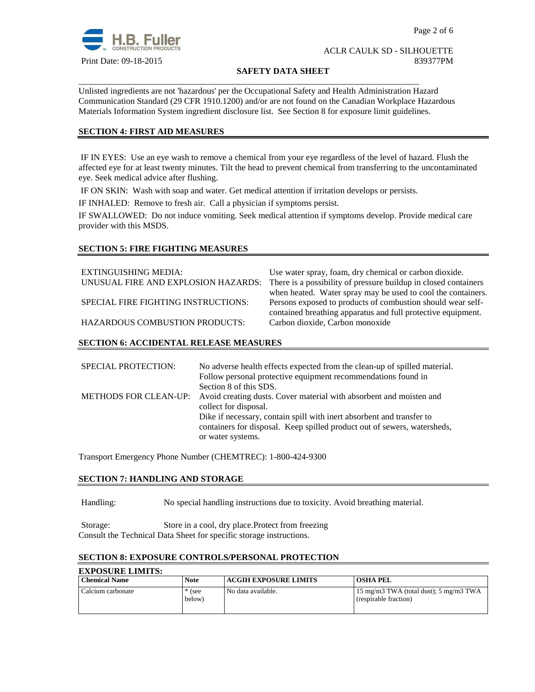

#### **SAFETY DATA SHEET**

Unlisted ingredients are not 'hazardous' per the Occupational Safety and Health Administration Hazard Communication Standard (29 CFR 1910.1200) and/or are not found on the Canadian Workplace Hazardous Materials Information System ingredient disclosure list. See Section 8 for exposure limit guidelines.

\_\_\_\_\_\_\_\_\_\_\_\_\_\_\_\_\_\_\_\_\_\_\_\_\_\_\_\_\_\_\_\_\_\_\_\_\_\_\_\_\_\_\_\_\_\_\_\_\_\_\_\_\_\_\_\_\_\_\_\_\_\_\_\_\_\_\_\_\_\_\_\_\_\_\_\_\_\_

# **SECTION 4: FIRST AID MEASURES**

 IF IN EYES: Use an eye wash to remove a chemical from your eye regardless of the level of hazard. Flush the affected eye for at least twenty minutes. Tilt the head to prevent chemical from transferring to the uncontaminated eye. Seek medical advice after flushing.

IF ON SKIN: Wash with soap and water. Get medical attention if irritation develops or persists.

IF INHALED: Remove to fresh air. Call a physician if symptoms persist.

IF SWALLOWED:Do not induce vomiting. Seek medical attention if symptoms develop. Provide medical care provider with this MSDS.

# **SECTION 5: FIRE FIGHTING MEASURES**

EXTINGUISHING MEDIA: Use water spray, foam, dry chemical or carbon dioxide. UNUSUAL FIRE AND EXPLOSION HAZARDS: There is a possibility of pressure buildup in closed containers when heated. Water spray may be used to cool the containers. SPECIAL FIRE FIGHTING INSTRUCTIONS: Persons exposed to products of combustion should wear selfcontained breathing apparatus and full protective equipment. HAZARDOUS COMBUSTION PRODUCTS: Carbon dioxide, Carbon monoxide

# **SECTION 6: ACCIDENTAL RELEASE MEASURES**

| No adverse health effects expected from the clean-up of spilled material.                    |
|----------------------------------------------------------------------------------------------|
| Follow personal protective equipment recommendations found in                                |
| Section 8 of this SDS.                                                                       |
| METHODS FOR CLEAN-UP:<br>Avoid creating dusts. Cover material with absorbent and moisten and |
| collect for disposal.                                                                        |
| Dike if necessary, contain spill with inert absorbent and transfer to                        |
| containers for disposal. Keep spilled product out of sewers, watersheds,                     |
| or water systems.                                                                            |
|                                                                                              |

Transport Emergency Phone Number (CHEMTREC): 1-800-424-9300

# **SECTION 7: HANDLING AND STORAGE**

Handling: No special handling instructions due to toxicity. Avoid breathing material.

Storage: Store in a cool, dry place.Protect from freezing Consult the Technical Data Sheet for specific storage instructions.

# **SECTION 8: EXPOSURE CONTROLS/PERSONAL PROTECTION**

| <b>EXPOSURE LIMITS:</b> |                    |                              |                                                                 |
|-------------------------|--------------------|------------------------------|-----------------------------------------------------------------|
| <b>Chemical Name</b>    | <b>Note</b>        | <b>ACGIH EXPOSURE LIMITS</b> | <b>OSHA PEL</b>                                                 |
| Calcium carbonate       | $*$ (see<br>below) | No data available.           | 15 mg/m3 TWA (total dust); 5 mg/m3 TWA<br>(respirable fraction) |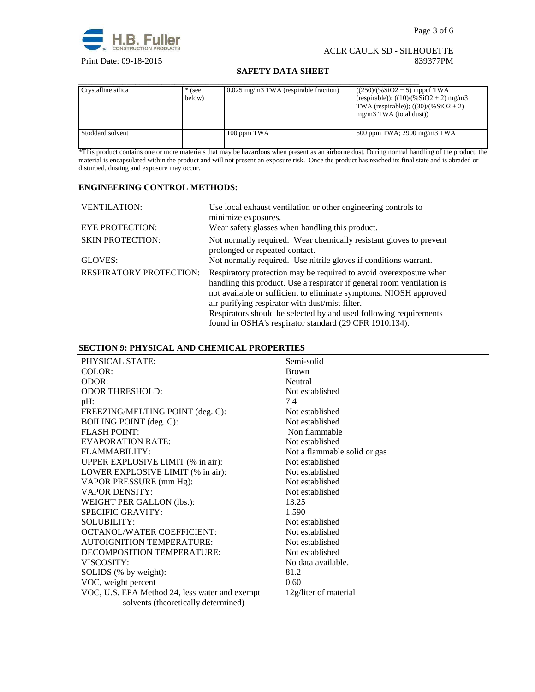

# **SAFETY DATA SHEET**

| Crystalline silica | $*$ (see<br>below) | $0.025$ mg/m3 TWA (respirable fraction) | $(250)/(%SiO2 + 5)$ mppcf TWA<br>(respirable)); $((10)/(%SiO2 + 2)$ mg/m3<br>TWA (respirable)); $((30)/(%SiO2 + 2))$<br>mg/m3 TWA (total dust)) |
|--------------------|--------------------|-----------------------------------------|-------------------------------------------------------------------------------------------------------------------------------------------------|
| Stoddard solvent   |                    | $100$ ppm TWA                           | 500 ppm TWA; 2900 mg/m3 TWA                                                                                                                     |

\*This product contains one or more materials that may be hazardous when present as an airborne dust. During normal handling of the product, the material is encapsulated within the product and will not present an exposure risk. Once the product has reached its final state and is abraded or disturbed, dusting and exposure may occur.

# **ENGINEERING CONTROL METHODS:**

| <b>VENTILATION:</b>            | Use local exhaust ventilation or other engineering controls to<br>minimize exposures.                                                                                                                                                                                                                                                    |
|--------------------------------|------------------------------------------------------------------------------------------------------------------------------------------------------------------------------------------------------------------------------------------------------------------------------------------------------------------------------------------|
| <b>EYE PROTECTION:</b>         | Wear safety glasses when handling this product.                                                                                                                                                                                                                                                                                          |
| <b>SKIN PROTECTION:</b>        | Not normally required. Wear chemically resistant gloves to prevent<br>prolonged or repeated contact.                                                                                                                                                                                                                                     |
| GLOVES:                        | Not normally required. Use nitrile gloves if conditions warrant.                                                                                                                                                                                                                                                                         |
| <b>RESPIRATORY PROTECTION:</b> | Respiratory protection may be required to avoid overexposure when<br>handling this product. Use a respirator if general room ventilation is<br>not available or sufficient to eliminate symptoms. NIOSH approved<br>air purifying respirator with dust/mist filter.<br>Respirators should be selected by and used following requirements |
|                                | found in OSHA's respirator standard (29 CFR 1910.134).                                                                                                                                                                                                                                                                                   |

# **SECTION 9: PHYSICAL AND CHEMICAL PROPERTIES**

| PHYSICAL STATE:                                | Semi-solid                   |
|------------------------------------------------|------------------------------|
| COLOR:                                         | <b>Brown</b>                 |
| ODOR:                                          | Neutral                      |
| <b>ODOR THRESHOLD:</b>                         | Not established              |
| pH:                                            | 7.4                          |
| FREEZING/MELTING POINT (deg. C):               | Not established              |
| BOILING POINT (deg. C):                        | Not established              |
| <b>FLASH POINT:</b>                            | Non flammable                |
| <b>EVAPORATION RATE:</b>                       | Not established              |
| <b>FLAMMABILITY:</b>                           | Not a flammable solid or gas |
| UPPER EXPLOSIVE LIMIT (% in air):              | Not established              |
| LOWER EXPLOSIVE LIMIT (% in air):              | Not established              |
| VAPOR PRESSURE (mm Hg):                        | Not established              |
| <b>VAPOR DENSITY:</b>                          | Not established              |
| WEIGHT PER GALLON (lbs.):                      | 13.25                        |
| <b>SPECIFIC GRAVITY:</b>                       | 1.590                        |
| <b>SOLUBILITY:</b>                             | Not established              |
| <b>OCTANOL/WATER COEFFICIENT:</b>              | Not established              |
| <b>AUTOIGNITION TEMPERATURE:</b>               | Not established              |
| DECOMPOSITION TEMPERATURE:                     | Not established              |
| VISCOSITY:                                     | No data available.           |
| SOLIDS (% by weight):                          | 81.2                         |
| VOC, weight percent                            | 0.60                         |
| VOC, U.S. EPA Method 24, less water and exempt | 12g/liter of material        |
| solvents (theoretically determined)            |                              |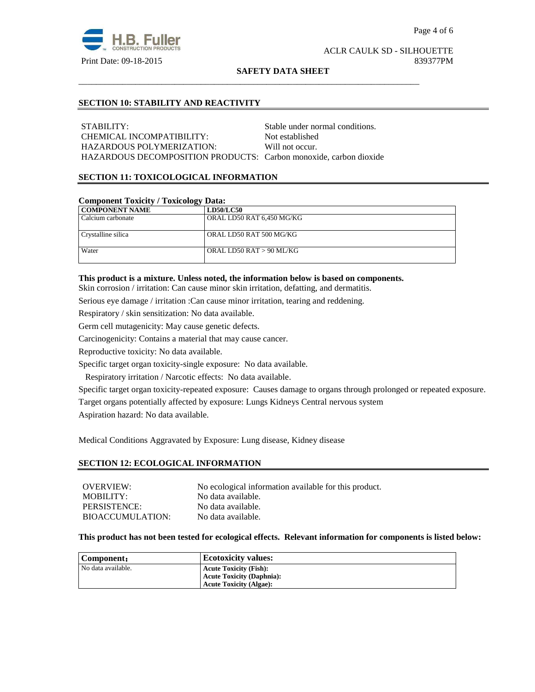

#### **SAFETY DATA SHEET**

# **SECTION 10: STABILITY AND REACTIVITY**

STABILITY: Stable under normal conditions. CHEMICAL INCOMPATIBILITY: Not established HAZARDOUS POLYMERIZATION: Will not occur. HAZARDOUS DECOMPOSITION PRODUCTS: Carbon monoxide, carbon dioxide

\_\_\_\_\_\_\_\_\_\_\_\_\_\_\_\_\_\_\_\_\_\_\_\_\_\_\_\_\_\_\_\_\_\_\_\_\_\_\_\_\_\_\_\_\_\_\_\_\_\_\_\_\_\_\_\_\_\_\_\_\_\_\_\_\_\_\_\_\_\_\_\_\_\_\_\_\_\_

# **SECTION 11: TOXICOLOGICAL INFORMATION**

# **Component Toxicity / Toxicology Data:**

| ິ<br><b>COMPONENT NAME</b> | <b>LD50/LC50</b>          |
|----------------------------|---------------------------|
| Calcium carbonate          | ORAL LD50 RAT 6,450 MG/KG |
| Crystalline silica         | ORAL LD50 RAT 500 MG/KG   |
| Water                      | ORAL LD50 RAT > 90 ML/KG  |

# **This product is a mixture. Unless noted, the information below is based on components.**

Skin corrosion / irritation: Can cause minor skin irritation, defatting, and dermatitis.

Serious eye damage / irritation :Can cause minor irritation, tearing and reddening.

Respiratory / skin sensitization: No data available.

Germ cell mutagenicity: May cause genetic defects.

Carcinogenicity: Contains a material that may cause cancer.

Reproductive toxicity: No data available.

Specific target organ toxicity-single exposure:No data available.

Respiratory irritation / Narcotic effects: No data available.

Specific target organ toxicity-repeated exposure:Causes damage to organs through prolonged or repeated exposure.

Target organs potentially affected by exposure: Lungs Kidneys Central nervous system

Aspiration hazard: No data available.

Medical Conditions Aggravated by Exposure: Lung disease, Kidney disease

#### **SECTION 12: ECOLOGICAL INFORMATION**

| OVERVIEW:        | No ecological information available for this product. |
|------------------|-------------------------------------------------------|
| MOBILITY:        | No data available.                                    |
| PERSISTENCE:     | No data available.                                    |
| BIOACCUMULATION: | No data available.                                    |

#### **This product has not been tested for ecological effects. Relevant information for components is listed below:**

| Component:         | <b>Ecotoxicity values:</b>       |
|--------------------|----------------------------------|
| No data available. | <b>Acute Toxicity (Fish):</b>    |
|                    | <b>Acute Toxicity (Daphnia):</b> |
|                    | <b>Acute Toxicity (Algae):</b>   |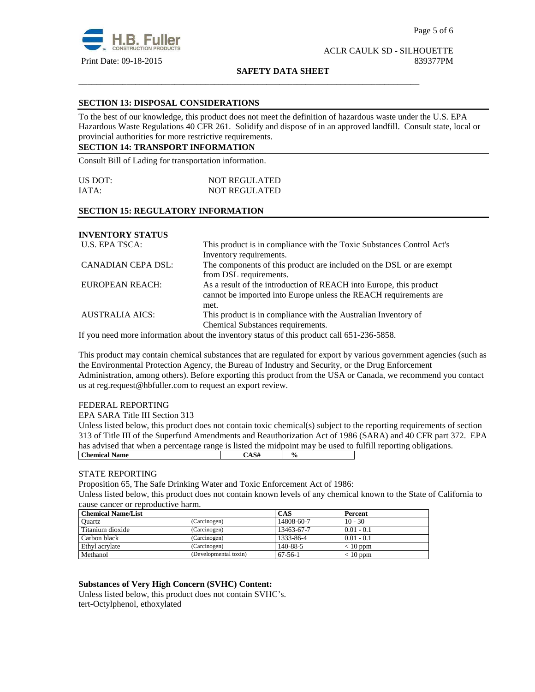

**SAFETY DATA SHEET**

\_\_\_\_\_\_\_\_\_\_\_\_\_\_\_\_\_\_\_\_\_\_\_\_\_\_\_\_\_\_\_\_\_\_\_\_\_\_\_\_\_\_\_\_\_\_\_\_\_\_\_\_\_\_\_\_\_\_\_\_\_\_\_\_\_\_\_\_\_\_\_\_\_\_\_\_\_\_

# **SECTION 13: DISPOSAL CONSIDERATIONS**

To the best of our knowledge, this product does not meet the definition of hazardous waste under the U.S. EPA Hazardous Waste Regulations 40 CFR 261. Solidify and dispose of in an approved landfill. Consult state, local or provincial authorities for more restrictive requirements.

# **SECTION 14: TRANSPORT INFORMATION**

Consult Bill of Lading for transportation information.

| US DOT: | <b>NOT REGULATED</b> |
|---------|----------------------|
| IATA:   | <b>NOT REGULATED</b> |

# **SECTION 15: REGULATORY INFORMATION**

**INVENTORY STATUS** 

| U.S. EPA TSCA:         | This product is in compliance with the Toxic Substances Control Act's |
|------------------------|-----------------------------------------------------------------------|
|                        | Inventory requirements.                                               |
| CANADIAN CEPA DSL:     | The components of this product are included on the DSL or are exempt  |
|                        | from DSL requirements.                                                |
| EUROPEAN REACH:        | As a result of the introduction of REACH into Europe, this product    |
|                        | cannot be imported into Europe unless the REACH requirements are      |
|                        | met.                                                                  |
| <b>AUSTRALIA AICS:</b> | This product is in compliance with the Australian Inventory of        |
|                        | Chemical Substances requirements.                                     |

If you need more information about the inventory status of this product call 651-236-5858.

This product may contain chemical substances that are regulated for export by various government agencies (such as the Environmental Protection Agency, the Bureau of Industry and Security, or the Drug Enforcement Administration, among others). Before exporting this product from the USA or Canada, we recommend you contact us at reg.request@hbfuller.com to request an export review.

# FEDERAL REPORTING

EPA SARA Title III Section 313

Unless listed below, this product does not contain toxic chemical(s) subject to the reporting requirements of section 313 of Title III of the Superfund Amendments and Reauthorization Act of 1986 (SARA) and 40 CFR part 372. EPA has advised that when a percentage range is listed the midpoint may be used to fulfill reporting obligations. **Chemical Name**  $\qquad \qquad$   $\qquad \qquad$   $\qquad \qquad$   $\qquad \qquad$   $\qquad \qquad$   $\qquad \qquad$   $\qquad \qquad$   $\qquad \qquad$   $\qquad \qquad$   $\qquad \qquad$   $\qquad \qquad$   $\qquad \qquad$   $\qquad \qquad$   $\qquad \qquad$   $\qquad \qquad$   $\qquad \qquad$   $\qquad \qquad$   $\qquad \qquad$   $\qquad \qquad$   $\qquad \qquad$   $\qquad \qquad$   $\qquad \qquad$   $\qquad \qquad$ 

# STATE REPORTING

Proposition 65, The Safe Drinking Water and Toxic Enforcement Act of 1986:

Unless listed below, this product does not contain known levels of any chemical known to the State of California to cause cancer or reproductive harm.

| <b>Chemical Name/List</b> |                       | <b>CAS</b> | Percent      |
|---------------------------|-----------------------|------------|--------------|
| Ouartz                    | (Carcinogen)          | 14808-60-7 | $10 - 30$    |
| Titanium dioxide          | (Carcinogen)          | 13463-67-7 | $0.01 - 0.1$ |
| Carbon black              | (Carcinogen)          | 1333-86-4  | $0.01 - 0.1$ |
| Ethyl acrylate            | (Carcinogen)          | 140-88-5   | $< 10$ ppm   |
| Methanol                  | (Developmental toxin) | $67-56-1$  | $< 10$ ppm   |

# **Substances of Very High Concern (SVHC) Content:**

Unless listed below, this product does not contain SVHC's. tert-Octylphenol, ethoxylated